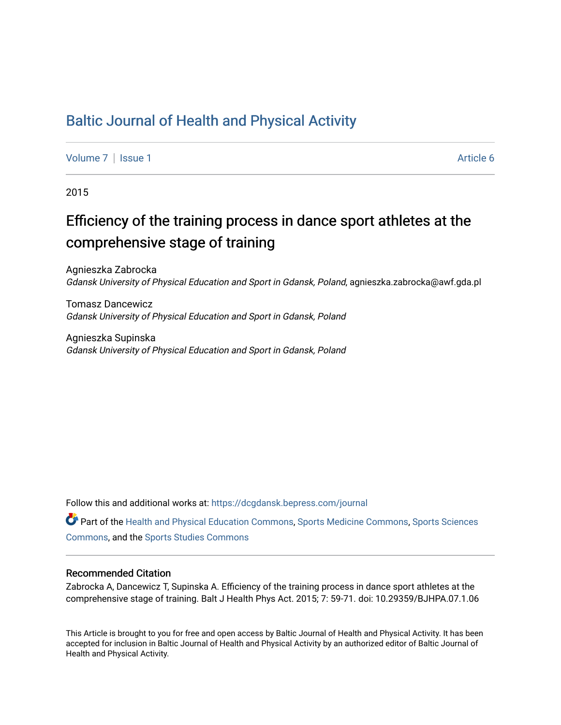## [Baltic Journal of Health and Physical Activity](https://dcgdansk.bepress.com/journal)

[Volume 7](https://dcgdansk.bepress.com/journal/vol7) | [Issue 1](https://dcgdansk.bepress.com/journal/vol7/iss1) Article 6

2015

# Efficiency of the training process in dance sport athletes at the comprehensive stage of training

Agnieszka Zabrocka Gdansk University of Physical Education and Sport in Gdansk, Poland, agnieszka.zabrocka@awf.gda.pl

Tomasz Dancewicz Gdansk University of Physical Education and Sport in Gdansk, Poland

Agnieszka Supinska Gdansk University of Physical Education and Sport in Gdansk, Poland

Follow this and additional works at: [https://dcgdansk.bepress.com/journal](https://dcgdansk.bepress.com/journal?utm_source=dcgdansk.bepress.com%2Fjournal%2Fvol7%2Fiss1%2F6&utm_medium=PDF&utm_campaign=PDFCoverPages)

Part of the [Health and Physical Education Commons](http://network.bepress.com/hgg/discipline/1327?utm_source=dcgdansk.bepress.com%2Fjournal%2Fvol7%2Fiss1%2F6&utm_medium=PDF&utm_campaign=PDFCoverPages), [Sports Medicine Commons,](http://network.bepress.com/hgg/discipline/1331?utm_source=dcgdansk.bepress.com%2Fjournal%2Fvol7%2Fiss1%2F6&utm_medium=PDF&utm_campaign=PDFCoverPages) [Sports Sciences](http://network.bepress.com/hgg/discipline/759?utm_source=dcgdansk.bepress.com%2Fjournal%2Fvol7%2Fiss1%2F6&utm_medium=PDF&utm_campaign=PDFCoverPages) [Commons](http://network.bepress.com/hgg/discipline/759?utm_source=dcgdansk.bepress.com%2Fjournal%2Fvol7%2Fiss1%2F6&utm_medium=PDF&utm_campaign=PDFCoverPages), and the [Sports Studies Commons](http://network.bepress.com/hgg/discipline/1198?utm_source=dcgdansk.bepress.com%2Fjournal%2Fvol7%2Fiss1%2F6&utm_medium=PDF&utm_campaign=PDFCoverPages) 

#### Recommended Citation

Zabrocka A, Dancewicz T, Supinska A. Efficiency of the training process in dance sport athletes at the comprehensive stage of training. Balt J Health Phys Act. 2015; 7: 59-71. doi: 10.29359/BJHPA.07.1.06

This Article is brought to you for free and open access by Baltic Journal of Health and Physical Activity. It has been accepted for inclusion in Baltic Journal of Health and Physical Activity by an authorized editor of Baltic Journal of Health and Physical Activity.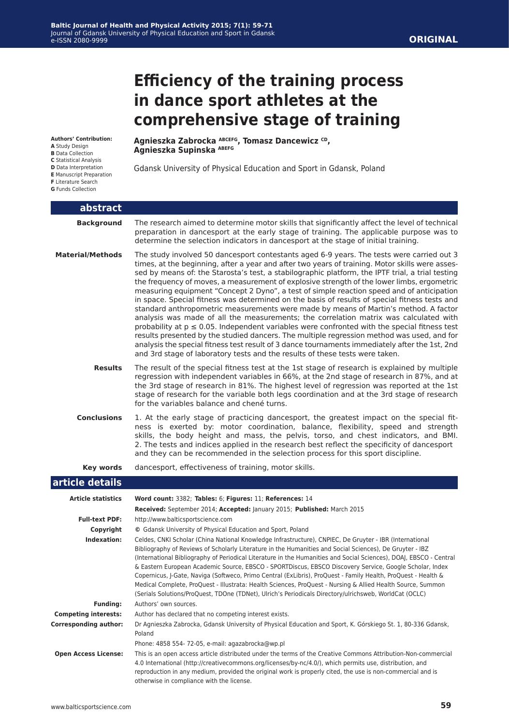#### **ORIGINAL**

# **Efficiency of the training process in dance sport athletes at the comprehensive stage of training**

**Authors' Contribution:**

- **A** Study Design
- **B** Data Collection
- **C** Statistical Analysis
- **D** Data Interpretation
- **E** Manuscript Preparation

**F** Literature Search

**G** Funds Collection

**Agnieszka Zabrocka ABCEFG, Tomasz Dancewicz CD, Agnieszka Supinska ABEFG**

Gdansk University of Physical Education and Sport in Gdansk, Poland

| abstract                    |                                                                                                                                                                                                                                                                                                                                                                                                                                                                                                                                                                                                                                                                                                                                                                                                                                                                                                                                                                                                                                                                                                                                                                    |
|-----------------------------|--------------------------------------------------------------------------------------------------------------------------------------------------------------------------------------------------------------------------------------------------------------------------------------------------------------------------------------------------------------------------------------------------------------------------------------------------------------------------------------------------------------------------------------------------------------------------------------------------------------------------------------------------------------------------------------------------------------------------------------------------------------------------------------------------------------------------------------------------------------------------------------------------------------------------------------------------------------------------------------------------------------------------------------------------------------------------------------------------------------------------------------------------------------------|
| <b>Background</b>           | The research aimed to determine motor skills that significantly affect the level of technical<br>preparation in dancesport at the early stage of training. The applicable purpose was to<br>determine the selection indicators in dancesport at the stage of initial training.                                                                                                                                                                                                                                                                                                                                                                                                                                                                                                                                                                                                                                                                                                                                                                                                                                                                                     |
| <b>Material/Methods</b>     | The study involved 50 dancesport contestants aged 6-9 years. The tests were carried out 3<br>times, at the beginning, after a year and after two years of training. Motor skills were asses-<br>sed by means of: the Starosta's test, a stabilographic platform, the IPTF trial, a trial testing<br>the frequency of moves, a measurement of explosive strength of the lower limbs, ergometric<br>measuring equipment "Concept 2 Dyno", a test of simple reaction speed and of anticipation<br>in space. Special fitness was determined on the basis of results of special fitness tests and<br>standard anthropometric measurements were made by means of Martin's method. A factor<br>analysis was made of all the measurements; the correlation matrix was calculated with<br>probability at $p \le 0.05$ . Independent variables were confronted with the special fitness test<br>results presented by the studied dancers. The multiple regression method was used, and for<br>analysis the special fitness test result of 3 dance tournaments immediately after the 1st, 2nd<br>and 3rd stage of laboratory tests and the results of these tests were taken. |
| <b>Results</b>              | The result of the special fitness test at the 1st stage of research is explained by multiple<br>regression with independent variables in 66%, at the 2nd stage of research in 87%, and at<br>the 3rd stage of research in 81%. The highest level of regression was reported at the 1st<br>stage of research for the variable both legs coordination and at the 3rd stage of research<br>for the variables balance and chené turns.                                                                                                                                                                                                                                                                                                                                                                                                                                                                                                                                                                                                                                                                                                                                 |
| <b>Conclusions</b>          | 1. At the early stage of practicing dancesport, the greatest impact on the special fit-<br>ness is exerted by: motor coordination, balance, flexibility, speed and strength<br>skills, the body height and mass, the pelvis, torso, and chest indicators, and BMI.<br>2. The tests and indices applied in the research best reflect the specificity of dancesport<br>and they can be recommended in the selection process for this sport discipline.                                                                                                                                                                                                                                                                                                                                                                                                                                                                                                                                                                                                                                                                                                               |
| Key words                   | dancesport, effectiveness of training, motor skills.                                                                                                                                                                                                                                                                                                                                                                                                                                                                                                                                                                                                                                                                                                                                                                                                                                                                                                                                                                                                                                                                                                               |
| article details             |                                                                                                                                                                                                                                                                                                                                                                                                                                                                                                                                                                                                                                                                                                                                                                                                                                                                                                                                                                                                                                                                                                                                                                    |
| <b>Article statistics</b>   | Word count: 3382; Tables: 6; Figures: 11; References: 14<br>Received: September 2014; Accepted: January 2015; Published: March 2015                                                                                                                                                                                                                                                                                                                                                                                                                                                                                                                                                                                                                                                                                                                                                                                                                                                                                                                                                                                                                                |
| <b>Full-text PDF:</b>       | http://www.balticsportscience.com                                                                                                                                                                                                                                                                                                                                                                                                                                                                                                                                                                                                                                                                                                                                                                                                                                                                                                                                                                                                                                                                                                                                  |
| Copyright                   | © Gdansk University of Physical Education and Sport, Poland                                                                                                                                                                                                                                                                                                                                                                                                                                                                                                                                                                                                                                                                                                                                                                                                                                                                                                                                                                                                                                                                                                        |
| Indexation:                 | Celdes, CNKI Scholar (China National Knowledge Infrastructure), CNPIEC, De Gruyter - IBR (International<br>Bibliography of Reviews of Scholarly Literature in the Humanities and Social Sciences), De Gruyter - IBZ<br>(International Bibliography of Periodical Literature in the Humanities and Social Sciences), DOAI, EBSCO - Central<br>& Eastern European Academic Source, EBSCO - SPORTDiscus, EBSCO Discovery Service, Google Scholar, Index<br>Copernicus, J-Gate, Naviga (Softweco, Primo Central (ExLibris), ProQuest - Family Health, ProQuest - Health &<br>Medical Complete, ProQuest - Illustrata: Health Sciences, ProQuest - Nursing & Allied Health Source, Summon<br>(Serials Solutions/ProQuest, TDOne (TDNet), Ulrich's Periodicals Directory/ulrichsweb, WorldCat (OCLC)                                                                                                                                                                                                                                                                                                                                                                     |
| <b>Funding:</b>             | Authors' own sources.                                                                                                                                                                                                                                                                                                                                                                                                                                                                                                                                                                                                                                                                                                                                                                                                                                                                                                                                                                                                                                                                                                                                              |
| <b>Competing interests:</b> | Author has declared that no competing interest exists.                                                                                                                                                                                                                                                                                                                                                                                                                                                                                                                                                                                                                                                                                                                                                                                                                                                                                                                                                                                                                                                                                                             |
| Corresponding author:       | Dr Agnieszka Zabrocka, Gdansk University of Physical Education and Sport, K. Górskiego St. 1, 80-336 Gdansk,<br>Poland                                                                                                                                                                                                                                                                                                                                                                                                                                                                                                                                                                                                                                                                                                                                                                                                                                                                                                                                                                                                                                             |
|                             | Phone: 4858 554-72-05, e-mail: agazabrocka@wp.pl                                                                                                                                                                                                                                                                                                                                                                                                                                                                                                                                                                                                                                                                                                                                                                                                                                                                                                                                                                                                                                                                                                                   |
| <b>Open Access License:</b> | This is an open access article distributed under the terms of the Creative Commons Attribution-Non-commercial<br>4.0 International (http://creativecommons.org/licenses/by-nc/4.0/), which permits use, distribution, and<br>reproduction in any medium, provided the original work is properly cited, the use is non-commercial and is<br>otherwise in compliance with the license.                                                                                                                                                                                                                                                                                                                                                                                                                                                                                                                                                                                                                                                                                                                                                                               |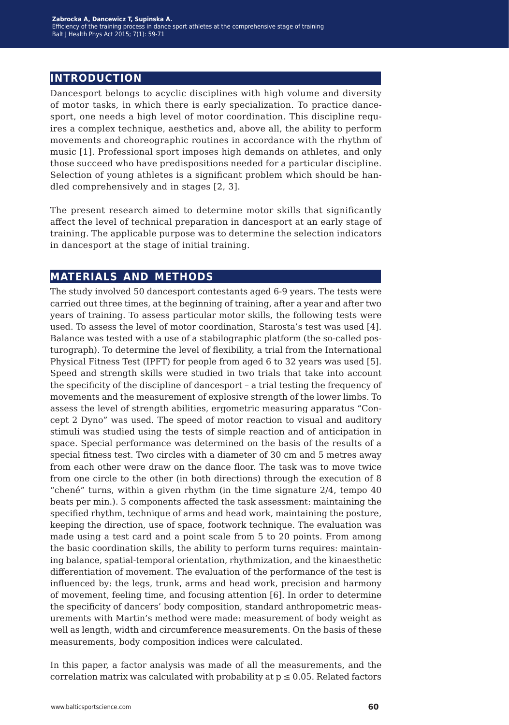#### **introduction**

Dancesport belongs to acyclic disciplines with high volume and diversity of motor tasks, in which there is early specialization. To practice dancesport, one needs a high level of motor coordination. This discipline requires a complex technique, aesthetics and, above all, the ability to perform movements and choreographic routines in accordance with the rhythm of music [1]. Professional sport imposes high demands on athletes, and only those succeed who have predispositions needed for a particular discipline. Selection of young athletes is a significant problem which should be handled comprehensively and in stages [2, 3].

The present research aimed to determine motor skills that significantly affect the level of technical preparation in dancesport at an early stage of training. The applicable purpose was to determine the selection indicators in dancesport at the stage of initial training.

#### **materials and methods**

The study involved 50 dancesport contestants aged 6-9 years. The tests were carried out three times, at the beginning of training, after a year and after two years of training. To assess particular motor skills, the following tests were used. To assess the level of motor coordination, Starosta's test was used [4]. Balance was tested with a use of a stabilographic platform (the so-called posturograph). To determine the level of flexibility, a trial from the International Physical Fitness Test (IPFT) for people from aged 6 to 32 years was used [5]. Speed and strength skills were studied in two trials that take into account the specificity of the discipline of dancesport – a trial testing the frequency of movements and the measurement of explosive strength of the lower limbs. To assess the level of strength abilities, ergometric measuring apparatus "Concept 2 Dyno" was used. The speed of motor reaction to visual and auditory stimuli was studied using the tests of simple reaction and of anticipation in space. Special performance was determined on the basis of the results of a special fitness test. Two circles with a diameter of 30 cm and 5 metres away from each other were draw on the dance floor. The task was to move twice from one circle to the other (in both directions) through the execution of 8 "chené" turns, within a given rhythm (in the time signature 2/4, tempo 40 beats per min.). 5 components affected the task assessment: maintaining the specified rhythm, technique of arms and head work, maintaining the posture, keeping the direction, use of space, footwork technique. The evaluation was made using a test card and a point scale from 5 to 20 points. From among the basic coordination skills, the ability to perform turns requires: maintaining balance, spatial-temporal orientation, rhythmization, and the kinaesthetic differentiation of movement. The evaluation of the performance of the test is influenced by: the legs, trunk, arms and head work, precision and harmony of movement, feeling time, and focusing attention [6]. In order to determine the specificity of dancers' body composition, standard anthropometric measurements with Martin's method were made: measurement of body weight as well as length, width and circumference measurements. On the basis of these measurements, body composition indices were calculated.

In this paper, a factor analysis was made of all the measurements, and the correlation matrix was calculated with probability at  $p \leq 0.05$ . Related factors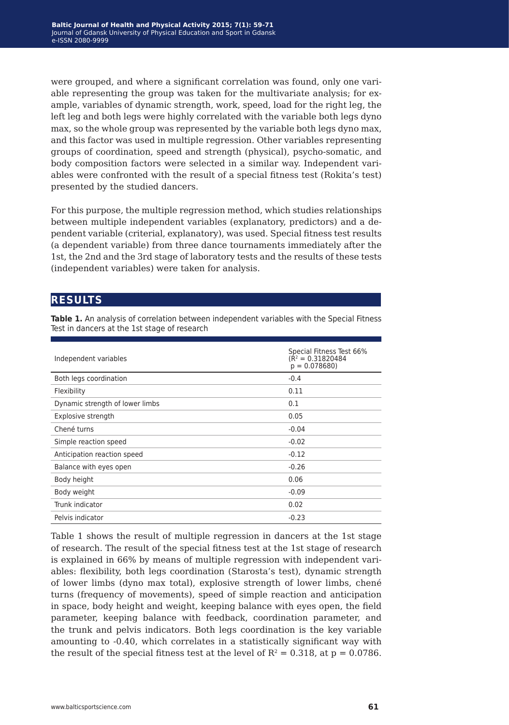were grouped, and where a significant correlation was found, only one variable representing the group was taken for the multivariate analysis; for example, variables of dynamic strength, work, speed, load for the right leg, the left leg and both legs were highly correlated with the variable both legs dyno max, so the whole group was represented by the variable both legs dyno max, and this factor was used in multiple regression. Other variables representing groups of coordination, speed and strength (physical), psycho-somatic, and body composition factors were selected in a similar way. Independent variables were confronted with the result of a special fitness test (Rokita's test) presented by the studied dancers.

For this purpose, the multiple regression method, which studies relationships between multiple independent variables (explanatory, predictors) and a dependent variable (criterial, explanatory), was used. Special fitness test results (a dependent variable) from three dance tournaments immediately after the 1st, the 2nd and the 3rd stage of laboratory tests and the results of these tests (independent variables) were taken for analysis.

#### **results**

**Table 1.** An analysis of correlation between independent variables with the Special Fitness Test in dancers at the 1st stage of research

| Independent variables           | Special Fitness Test 66%<br>( $R^2$ = 0.31820484<br>$p = 0.078680$ |
|---------------------------------|--------------------------------------------------------------------|
| Both legs coordination          | $-0.4$                                                             |
| Flexibility                     | 0.11                                                               |
| Dynamic strength of lower limbs | 0.1                                                                |
| Explosive strength              | 0.05                                                               |
| Chené turns                     | $-0.04$                                                            |
| Simple reaction speed           | $-0.02$                                                            |
| Anticipation reaction speed     | $-0.12$                                                            |
| Balance with eyes open          | $-0.26$                                                            |
| Body height                     | 0.06                                                               |
| Body weight                     | $-0.09$                                                            |
| Trunk indicator                 | 0.02                                                               |
| Pelvis indicator                | $-0.23$                                                            |

Table 1 shows the result of multiple regression in dancers at the 1st stage of research. The result of the special fitness test at the 1st stage of research is explained in 66% by means of multiple regression with independent variables: flexibility, both legs coordination (Starosta's test), dynamic strength of lower limbs (dyno max total), explosive strength of lower limbs, chené turns (frequency of movements), speed of simple reaction and anticipation in space, body height and weight, keeping balance with eyes open, the field parameter, keeping balance with feedback, coordination parameter, and the trunk and pelvis indicators. Both legs coordination is the key variable amounting to -0.40, which correlates in a statistically significant way with the result of the special fitness test at the level of  $R^2 = 0.318$ , at  $p = 0.0786$ .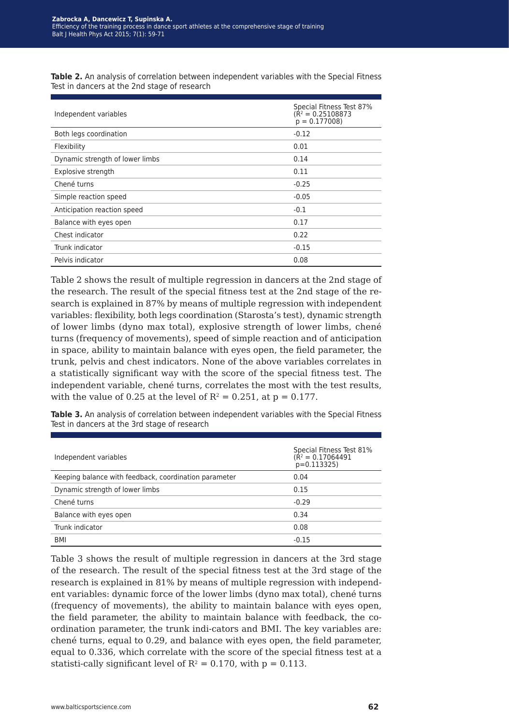|  |  | <b>Table 2.</b> An analysis of correlation between independent variables with the Special Fitness |  |  |  |  |
|--|--|---------------------------------------------------------------------------------------------------|--|--|--|--|
|  |  | Test in dancers at the 2nd stage of research                                                      |  |  |  |  |

| Independent variables           | Special Fitness Test 87%<br>$(R2 = 0.25108873)$<br>$p = 0.177008$ |
|---------------------------------|-------------------------------------------------------------------|
| Both legs coordination          | $-0.12$                                                           |
| Flexibility                     | 0.01                                                              |
| Dynamic strength of lower limbs | 0.14                                                              |
| Explosive strength              | 0.11                                                              |
| Chené turns                     | $-0.25$                                                           |
| Simple reaction speed           | $-0.05$                                                           |
| Anticipation reaction speed     | $-0.1$                                                            |
| Balance with eyes open          | 0.17                                                              |
| Chest indicator                 | 0.22                                                              |
| Trunk indicator                 | $-0.15$                                                           |
| Pelvis indicator                | 0.08                                                              |

Table 2 shows the result of multiple regression in dancers at the 2nd stage of the research. The result of the special fitness test at the 2nd stage of the research is explained in 87% by means of multiple regression with independent variables: flexibility, both legs coordination (Starosta's test), dynamic strength of lower limbs (dyno max total), explosive strength of lower limbs, chené turns (frequency of movements), speed of simple reaction and of anticipation in space, ability to maintain balance with eyes open, the field parameter, the trunk, pelvis and chest indicators. None of the above variables correlates in a statistically significant way with the score of the special fitness test. The independent variable, chené turns, correlates the most with the test results, with the value of 0.25 at the level of  $R^2 = 0.251$ , at  $p = 0.177$ .

**Table 3.** An analysis of correlation between independent variables with the Special Fitness Test in dancers at the 3rd stage of research

| Independent variables                                 | Special Fitness Test 81%<br>( $R^2$ = 0.17064491<br>$p=0.113325$ |
|-------------------------------------------------------|------------------------------------------------------------------|
| Keeping balance with feedback, coordination parameter | 0.04                                                             |
| Dynamic strength of lower limbs                       | 0.15                                                             |
| Chené turns                                           | $-0.29$                                                          |
| Balance with eyes open                                | 0.34                                                             |
| Trunk indicator                                       | 0.08                                                             |
| <b>BMI</b>                                            | $-0.15$                                                          |

Table 3 shows the result of multiple regression in dancers at the 3rd stage of the research. The result of the special fitness test at the 3rd stage of the research is explained in 81% by means of multiple regression with independent variables: dynamic force of the lower limbs (dyno max total), chené turns (frequency of movements), the ability to maintain balance with eyes open, the field parameter, the ability to maintain balance with feedback, the coordination parameter, the trunk indi-cators and BMI. The key variables are: chené turns, equal to 0.29, and balance with eyes open, the field parameter, equal to 0.336, which correlate with the score of the special fitness test at a statisti-cally significant level of  $R^2 = 0.170$ , with  $p = 0.113$ .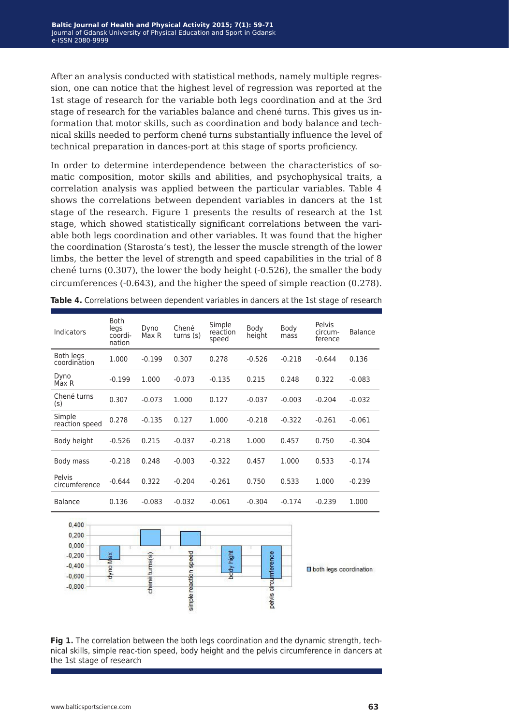After an analysis conducted with statistical methods, namely multiple regression, one can notice that the highest level of regression was reported at the 1st stage of research for the variable both legs coordination and at the 3rd stage of research for the variables balance and chené turns. This gives us information that motor skills, such as coordination and body balance and technical skills needed to perform chené turns substantially influence the level of technical preparation in dances-port at this stage of sports proficiency.

In order to determine interdependence between the characteristics of somatic composition, motor skills and abilities, and psychophysical traits, a correlation analysis was applied between the particular variables. Table 4 shows the correlations between dependent variables in dancers at the 1st stage of the research. Figure 1 presents the results of research at the 1st stage, which showed statistically significant correlations between the variable both legs coordination and other variables. It was found that the higher the coordination (Starosta's test), the lesser the muscle strength of the lower limbs, the better the level of strength and speed capabilities in the trial of 8 chené turns (0.307), the lower the body height (-0.526), the smaller the body circumferences (-0.643), and the higher the speed of simple reaction (0.278).

| Indicators                | <b>Both</b><br>legs<br>coordi-<br>nation | Dyno<br>Max R | Chené<br>turns(s) | Simple<br>reaction<br>speed | Body<br>height | Body<br>mass | Pelvis<br>circum-<br>ference | <b>Balance</b> |
|---------------------------|------------------------------------------|---------------|-------------------|-----------------------------|----------------|--------------|------------------------------|----------------|
| Both legs<br>coordination | 1.000                                    | $-0.199$      | 0.307             | 0.278                       | $-0.526$       | $-0.218$     | $-0.644$                     | 0.136          |
| Dyno<br>Max R             | $-0.199$                                 | 1.000         | $-0.073$          | $-0.135$                    | 0.215          | 0.248        | 0.322                        | $-0.083$       |
| Chené turns<br>(s)        | 0.307                                    | $-0.073$      | 1.000             | 0.127                       | $-0.037$       | $-0.003$     | $-0.204$                     | $-0.032$       |
| Simple<br>reaction speed  | 0.278                                    | $-0.135$      | 0.127             | 1.000                       | $-0.218$       | $-0.322$     | $-0.261$                     | $-0.061$       |
| Body height               | $-0.526$                                 | 0.215         | $-0.037$          | $-0.218$                    | 1.000          | 0.457        | 0.750                        | $-0.304$       |
| Body mass                 | $-0.218$                                 | 0.248         | $-0.003$          | $-0.322$                    | 0.457          | 1.000        | 0.533                        | $-0.174$       |
| Pelvis<br>circumference   | $-0.644$                                 | 0.322         | $-0.204$          | $-0.261$                    | 0.750          | 0.533        | 1.000                        | $-0.239$       |
| <b>Balance</b>            | 0.136                                    | $-0.083$      | $-0.032$          | $-0.061$                    | $-0.304$       | $-0.174$     | $-0.239$                     | 1.000          |

**Table 4.** Correlations between dependent variables in dancers at the 1st stage of research



**Fig 1.** The correlation between the both legs coordination and the dynamic strength, technical skills, simple reac-tion speed, body height and the pelvis circumference in dancers at the 1st stage of research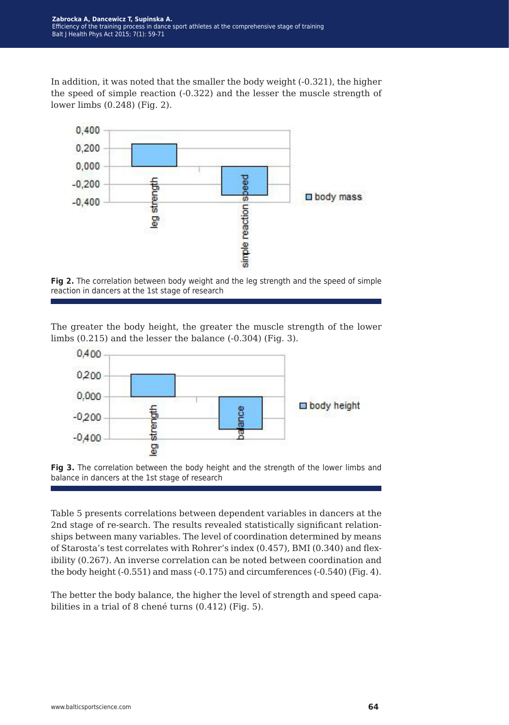In addition, it was noted that the smaller the body weight (-0.321), the higher the speed of simple reaction (-0.322) and the lesser the muscle strength of lower limbs (0.248) (Fig. 2).





The greater the body height, the greater the muscle strength of the lower limbs (0.215) and the lesser the balance (-0.304) (Fig. 3).





Table 5 presents correlations between dependent variables in dancers at the 2nd stage of re-search. The results revealed statistically significant relationships between many variables. The level of coordination determined by means of Starosta's test correlates with Rohrer's index (0.457), BMI (0.340) and flexibility (0.267). An inverse correlation can be noted between coordination and the body height (-0.551) and mass (-0.175) and circumferences (-0.540) (Fig. 4).

The better the body balance, the higher the level of strength and speed capabilities in a trial of 8 chené turns (0.412) (Fig. 5).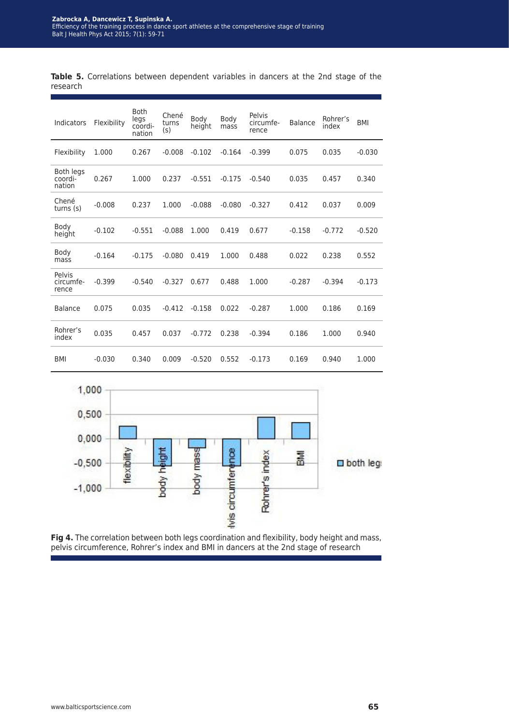|          | <b>Table 5.</b> Correlations between dependent variables in dancers at the 2nd stage of the |  |  |  |  |  |  |
|----------|---------------------------------------------------------------------------------------------|--|--|--|--|--|--|
| research |                                                                                             |  |  |  |  |  |  |

| Indicators                     | Flexibility | <b>Both</b><br>legs<br>coordi-<br>nation | Chené<br>turns<br>(s) | Body<br>height | Body<br>mass | Pelvis<br>circumfe-<br>rence | <b>Balance</b> | Rohrer's<br>index | <b>BMI</b> |
|--------------------------------|-------------|------------------------------------------|-----------------------|----------------|--------------|------------------------------|----------------|-------------------|------------|
| Flexibility                    | 1.000       | 0.267                                    | $-0.008$              | $-0.102$       | $-0.164$     | $-0.399$                     | 0.075          | 0.035             | $-0.030$   |
| Both legs<br>coordi-<br>nation | 0.267       | 1.000                                    | 0.237                 | $-0.551$       | $-0.175$     | $-0.540$                     | 0.035          | 0.457             | 0.340      |
| Chené<br>turns $(s)$           | $-0.008$    | 0.237                                    | 1.000                 | $-0.088$       | $-0.080$     | $-0.327$                     | 0.412          | 0.037             | 0.009      |
| Body<br>height                 | $-0.102$    | $-0.551$                                 | $-0.088$              | 1.000          | 0.419        | 0.677                        | $-0.158$       | $-0.772$          | $-0.520$   |
| Body<br>mass                   | $-0.164$    | $-0.175$                                 | $-0.080$              | 0.419          | 1.000        | 0.488                        | 0.022          | 0.238             | 0.552      |
| Pelvis<br>circumfe-<br>rence   | $-0.399$    | $-0.540$                                 | $-0.327$              | 0.677          | 0.488        | 1.000                        | $-0.287$       | $-0.394$          | $-0.173$   |
| Balance                        | 0.075       | 0.035                                    | $-0.412$              | $-0.158$       | 0.022        | $-0.287$                     | 1.000          | 0.186             | 0.169      |
| Rohrer's<br>index              | 0.035       | 0.457                                    | 0.037                 | $-0.772$       | 0.238        | $-0.394$                     | 0.186          | 1.000             | 0.940      |
| <b>BMI</b>                     | $-0.030$    | 0.340                                    | 0.009                 | $-0.520$       | 0.552        | $-0.173$                     | 0.169          | 0.940             | 1.000      |



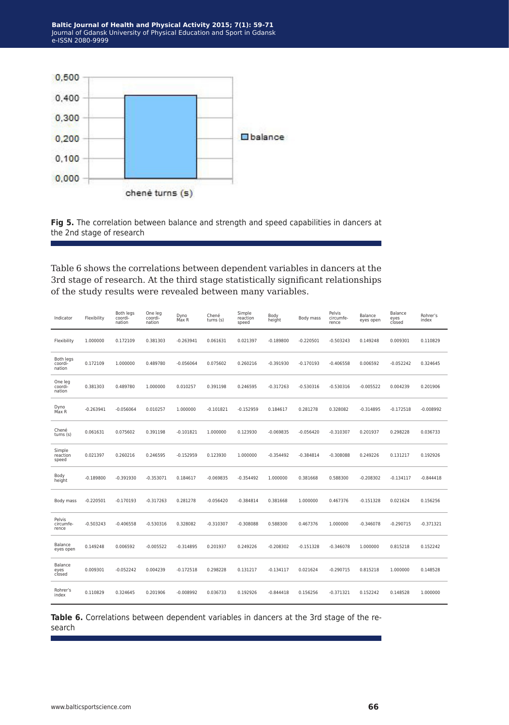

Fig 5. The correlation between balance and strength and speed capabilities in dancers at the 2nd stage of research

Table 6 shows the correlations between dependent variables in dancers at the 3rd stage of research. At the third stage statistically significant relationships of the study results were revealed between many variables.

| Indicator                             | Flexibility | Both legs<br>coordi-<br>nation | One leg<br>coordi-<br>nation | Dyno<br>Max R | Chené<br>turns (s) | Simple<br>reaction<br>speed | Body<br>height | Body mass   | Pelvis<br>circumfe-<br>rence | Balance<br>eyes open | Balance<br>eyes<br>closed | Rohrer's<br>index |
|---------------------------------------|-------------|--------------------------------|------------------------------|---------------|--------------------|-----------------------------|----------------|-------------|------------------------------|----------------------|---------------------------|-------------------|
| Flexibility                           | 1.000000    | 0.172109                       | 0.381303                     | $-0.263941$   | 0.061631           | 0.021397                    | $-0.189800$    | $-0.220501$ | $-0.503243$                  | 0.149248             | 0.009301                  | 0.110829          |
| <b>Both legs</b><br>coordi-<br>nation | 0.172109    | 1.000000                       | 0.489780                     | $-0.056064$   | 0.075602           | 0.260216                    | $-0.391930$    | $-0.170193$ | $-0.406558$                  | 0.006592             | $-0.052242$               | 0.324645          |
| One leg<br>coordi-<br>nation          | 0.381303    | 0.489780                       | 1.000000                     | 0.010257      | 0.391198           | 0.246595                    | $-0.317263$    | $-0.530316$ | $-0.530316$                  | $-0.005522$          | 0.004239                  | 0.201906          |
| Dyno<br>Max R                         | $-0.263941$ | $-0.056064$                    | 0.010257                     | 1.000000      | $-0.101821$        | $-0.152959$                 | 0.184617       | 0.281278    | 0.328082                     | $-0.314895$          | $-0.172518$               | $-0.008992$       |
| Chené<br>turns (s)                    | 0.061631    | 0.075602                       | 0.391198                     | $-0.101821$   | 1.000000           | 0.123930                    | $-0.069835$    | $-0.056420$ | $-0.310307$                  | 0.201937             | 0.298228                  | 0.036733          |
| Simple<br>reaction<br>speed           | 0.021397    | 0.260216                       | 0.246595                     | $-0.152959$   | 0.123930           | 1.000000                    | $-0.354492$    | $-0.384814$ | $-0.308088$                  | 0.249226             | 0.131217                  | 0.192926          |
| Body<br>height                        | $-0.189800$ | $-0.391930$                    | $-0.353071$                  | 0.184617      | $-0.069835$        | $-0.354492$                 | 1.000000       | 0.381668    | 0.588300                     | $-0.208302$          | $-0.134117$               | $-0.844418$       |
| Body mass                             | $-0.220501$ | $-0.170193$                    | $-0.317263$                  | 0.281278      | $-0.056420$        | $-0.384814$                 | 0.381668       | 1.000000    | 0.467376                     | $-0.151328$          | 0.021624                  | 0.156256          |
| Pelvis<br>circumfe-<br>rence          | $-0.503243$ | $-0.406558$                    | $-0.530316$                  | 0.328082      | $-0.310307$        | $-0.308088$                 | 0.588300       | 0.467376    | 1.000000                     | $-0.346078$          | $-0.290715$               | $-0.371321$       |
| Balance<br>eyes open                  | 0.149248    | 0.006592                       | $-0.005522$                  | $-0.314895$   | 0.201937           | 0.249226                    | $-0.208302$    | $-0.151328$ | $-0.346078$                  | 1.000000             | 0.815218                  | 0.152242          |
| Balance<br>eyes<br>closed             | 0.009301    | $-0.052242$                    | 0.004239                     | $-0.172518$   | 0.298228           | 0.131217                    | $-0.134117$    | 0.021624    | $-0.290715$                  | 0.815218             | 1.000000                  | 0.148528          |
| Rohrer's<br>index                     | 0.110829    | 0.324645                       | 0.201906                     | $-0.008992$   | 0.036733           | 0.192926                    | $-0.844418$    | 0.156256    | $-0.371321$                  | 0.152242             | 0.148528                  | 1.000000          |

**Table 6.** Correlations between dependent variables in dancers at the 3rd stage of the research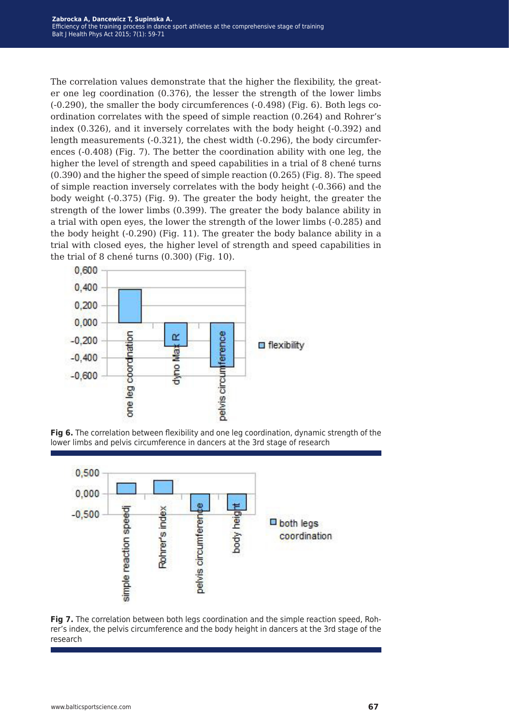The correlation values demonstrate that the higher the flexibility, the greater one leg coordination (0.376), the lesser the strength of the lower limbs (-0.290), the smaller the body circumferences (-0.498) (Fig. 6). Both legs coordination correlates with the speed of simple reaction (0.264) and Rohrer's index (0.326), and it inversely correlates with the body height (-0.392) and length measurements (-0.321), the chest width (-0.296), the body circumferences (-0.408) (Fig. 7). The better the coordination ability with one leg, the higher the level of strength and speed capabilities in a trial of 8 chené turns (0.390) and the higher the speed of simple reaction (0.265) (Fig. 8). The speed of simple reaction inversely correlates with the body height (-0.366) and the body weight (-0.375) (Fig. 9). The greater the body height, the greater the strength of the lower limbs (0.399). The greater the body balance ability in a trial with open eyes, the lower the strength of the lower limbs (-0.285) and the body height (-0.290) (Fig. 11). The greater the body balance ability in a trial with closed eyes, the higher level of strength and speed capabilities in the trial of 8 chené turns (0.300) (Fig. 10).







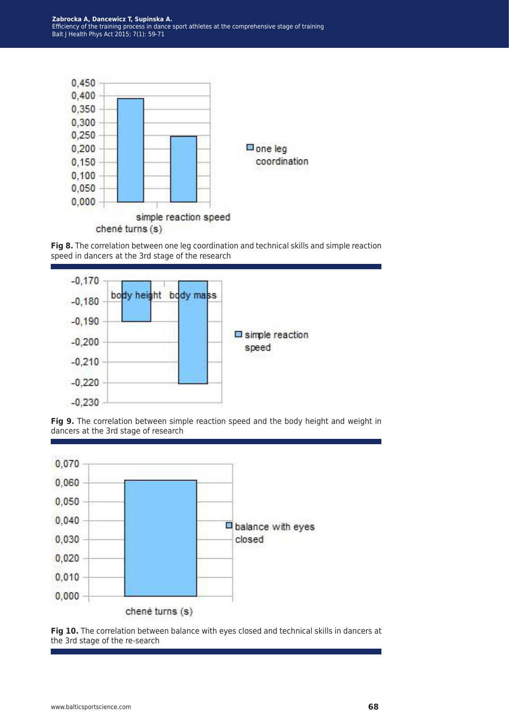

**Fig 8.** The correlation between one leg coordination and technical skills and simple reaction speed in dancers at the 3rd stage of the research







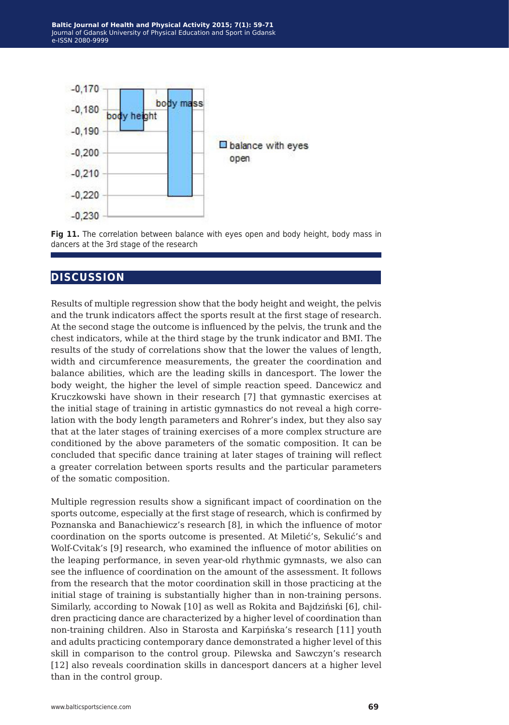



### **discussion**

Results of multiple regression show that the body height and weight, the pelvis and the trunk indicators affect the sports result at the first stage of research. At the second stage the outcome is influenced by the pelvis, the trunk and the chest indicators, while at the third stage by the trunk indicator and BMI. The results of the study of correlations show that the lower the values of length, width and circumference measurements, the greater the coordination and balance abilities, which are the leading skills in dancesport. The lower the body weight, the higher the level of simple reaction speed. Dancewicz and Kruczkowski have shown in their research [7] that gymnastic exercises at the initial stage of training in artistic gymnastics do not reveal a high correlation with the body length parameters and Rohrer's index, but they also say that at the later stages of training exercises of a more complex structure are conditioned by the above parameters of the somatic composition. It can be concluded that specific dance training at later stages of training will reflect a greater correlation between sports results and the particular parameters of the somatic composition.

Multiple regression results show a significant impact of coordination on the sports outcome, especially at the first stage of research, which is confirmed by Poznanska and Banachiewicz's research [8], in which the influence of motor coordination on the sports outcome is presented. At Miletić's, Sekulić's and Wolf-Cvitak's [9] research, who examined the influence of motor abilities on the leaping performance, in seven year-old rhythmic gymnasts, we also can see the influence of coordination on the amount of the assessment. It follows from the research that the motor coordination skill in those practicing at the initial stage of training is substantially higher than in non-training persons. Similarly, according to Nowak [10] as well as Rokita and Bajdziński [6], children practicing dance are characterized by a higher level of coordination than non-training children. Also in Starosta and Karpińska's research [11] youth and adults practicing contemporary dance demonstrated a higher level of this skill in comparison to the control group. Pilewska and Sawczyn's research [12] also reveals coordination skills in dancesport dancers at a higher level than in the control group.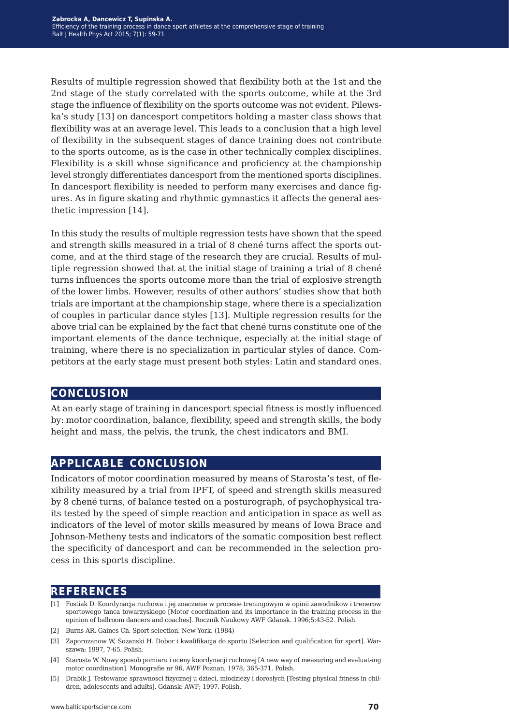Results of multiple regression showed that flexibility both at the 1st and the 2nd stage of the study correlated with the sports outcome, while at the 3rd stage the influence of flexibility on the sports outcome was not evident. Pilewska's study [13] on dancesport competitors holding a master class shows that flexibility was at an average level. This leads to a conclusion that a high level of flexibility in the subsequent stages of dance training does not contribute to the sports outcome, as is the case in other technically complex disciplines. Flexibility is a skill whose significance and proficiency at the championship level strongly differentiates dancesport from the mentioned sports disciplines. In dancesport flexibility is needed to perform many exercises and dance figures. As in figure skating and rhythmic gymnastics it affects the general aesthetic impression [14].

In this study the results of multiple regression tests have shown that the speed and strength skills measured in a trial of 8 chené turns affect the sports outcome, and at the third stage of the research they are crucial. Results of multiple regression showed that at the initial stage of training a trial of 8 chené turns influences the sports outcome more than the trial of explosive strength of the lower limbs. However, results of other authors' studies show that both trials are important at the championship stage, where there is a specialization of couples in particular dance styles [13]. Multiple regression results for the above trial can be explained by the fact that chené turns constitute one of the important elements of the dance technique, especially at the initial stage of training, where there is no specialization in particular styles of dance. Competitors at the early stage must present both styles: Latin and standard ones.

#### **conclusion**

At an early stage of training in dancesport special fitness is mostly influenced by: motor coordination, balance, flexibility, speed and strength skills, the body height and mass, the pelvis, the trunk, the chest indicators and BMI.

### **applicable conclusion**

Indicators of motor coordination measured by means of Starosta's test, of flexibility measured by a trial from IPFT, of speed and strength skills measured by 8 chené turns, of balance tested on a posturograph, of psychophysical traits tested by the speed of simple reaction and anticipation in space as well as indicators of the level of motor skills measured by means of Iowa Brace and Johnson-Metheny tests and indicators of the somatic composition best reflect the specificity of dancesport and can be recommended in the selection process in this sports discipline.

#### **references**

- [1] Fostiak D. Koordynacja ruchowa i jej znaczenie w procesie treningowym w opinii zawodnikow i trenerow sportowego tanca towarzyskiego [Motor coordination and its importance in the training process in the opinion of ballroom dancers and coaches]. Rocznik Naukowy AWF Gdansk. 1996;5:43-52. Polish.
- [2] Burns AR, Gaines Ch. Sport selection. New York. (1984)
- [3] Zaporozanow W, Sozanski H. Dobor i kwalifikacja do sportu [Selection and qualification for sport]. Warszawa; 1997, 7-65. Polish.
- [4] Starosta W. Nowy sposob pomiaru i oceny koordynacji ruchowej [A new way of measuring and evaluat-ing motor coordination]. Monografie nr 96, AWF Poznan, 1978; 365-371. Polish.
- [5] Drabik J. Testowanie sprawnosci fizycznej u dzieci, młodziezy i doroslych [Testing physical fitness in children, adolescents and adults]. Gdansk: AWF; 1997. Polish.